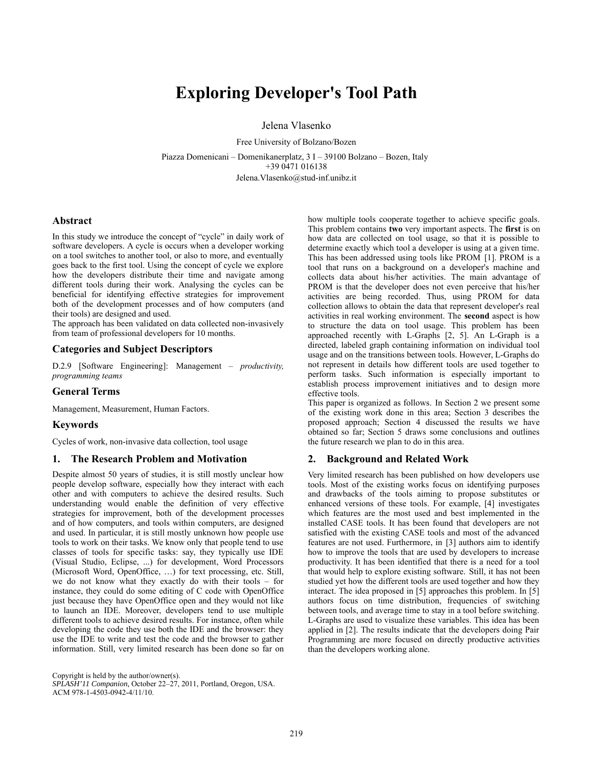# **Exploring Developer's Tool Path**

Jelena Vlasenko

Free University of Bolzano/Bozen Piazza Domenicani – Domenikanerplatz, 3 I – 39100 Bolzano – Bozen, Italy +39 0471 016138 Jelena.Vlasenko@stud-inf.unibz.it

# **Abstract**

In this study we introduce the concept of "cycle" in daily work of software developers. A cycle is occurs when a developer working on a tool switches to another tool, or also to more, and eventually goes back to the first tool. Using the concept of cycle we explore how the developers distribute their time and navigate among different tools during their work. Analysing the cycles can be beneficial for identifying effective strategies for improvement both of the development processes and of how computers (and their tools) are designed and used.

The approach has been validated on data collected non-invasively from team of professional developers for 10 months.

# **Categories and Subject Descriptors**

D.2.9 [Software Engineering]: Management – *productivity, programming teams*

# **General Terms**

Management, Measurement, Human Factors.

# **Keywords**

Cycles of work, non-invasive data collection, tool usage

### **1. The Research Problem and Motivation**

Despite almost 50 years of studies, it is still mostly unclear how people develop software, especially how they interact with each other and with computers to achieve the desired results. Such understanding would enable the definition of very effective strategies for improvement, both of the development processes and of how computers, and tools within computers, are designed and used. In particular, it is still mostly unknown how people use tools to work on their tasks. We know only that people tend to use classes of tools for specific tasks: say, they typically use IDE (Visual Studio, Eclipse, ...) for development, Word Processors (Microsoft Word, OpenOffice, …) for text processing, etc. Still, we do not know what they exactly do with their tools – for instance, they could do some editing of C code with OpenOffice just because they have OpenOffice open and they would not like to launch an IDE. Moreover, developers tend to use multiple different tools to achieve desired results. For instance, often while developing the code they use both the IDE and the browser: they use the IDE to write and test the code and the browser to gather information. Still, very limited research has been done so far on

Copyright is held by the author/owner(s).

*SPLASH'11 Companion,* October 22–27, 2011, Portland, Oregon, USA. ACM 978-1-4503-0942-4/11/10.

how multiple tools cooperate together to achieve specific goals. This problem contains **two** very important aspects. The **first** is on how data are collected on tool usage, so that it is possible to determine exactly which tool a developer is using at a given time. This has been addressed using tools like PROM [1]. PROM is a tool that runs on a background on a developer's machine and collects data about his/her activities. The main advantage of PROM is that the developer does not even perceive that his/her activities are being recorded. Thus, using PROM for data collection allows to obtain the data that represent developer's real activities in real working environment. The **second** aspect is how to structure the data on tool usage. This problem has been approached recently with L-Graphs [2, 5]. An L-Graph is a directed, labeled graph containing information on individual tool usage and on the transitions between tools. However, L-Graphs do not represent in details how different tools are used together to perform tasks. Such information is especially important to establish process improvement initiatives and to design more effective tools.

This paper is organized as follows. In Section 2 we present some of the existing work done in this area; Section 3 describes the proposed approach; Section 4 discussed the results we have obtained so far; Section 5 draws some conclusions and outlines the future research we plan to do in this area.

#### **2. Background and Related Work**

Very limited research has been published on how developers use tools. Most of the existing works focus on identifying purposes and drawbacks of the tools aiming to propose substitutes or enhanced versions of these tools. For example, [4] investigates which features are the most used and best implemented in the installed CASE tools. It has been found that developers are not satisfied with the existing CASE tools and most of the advanced features are not used. Furthermore, in [3] authors aim to identify how to improve the tools that are used by developers to increase productivity. It has been identified that there is a need for a tool that would help to explore existing software. Still, it has not been studied yet how the different tools are used together and how they interact. The idea proposed in [5] approaches this problem. In [5] authors focus on time distribution, frequencies of switching between tools, and average time to stay in a tool before switching. L-Graphs are used to visualize these variables. This idea has been applied in [2]. The results indicate that the developers doing Pair Programming are more focused on directly productive activities than the developers working alone.